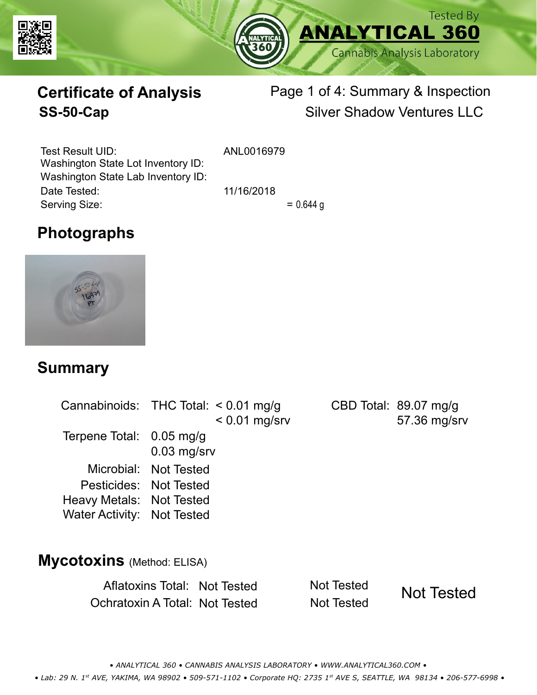



# **Certificate of Analysis**

# Page 1 of 4: Summary & Inspection **SS-50-Cap** Silver Shadow Ventures LLC

Serving Size:  $= 0.644 g$ Test Result UID: ANL0016979 Date Tested: 11/16/2018 Washington State Lot Inventory ID: Washington State Lab Inventory ID:

# **Photographs**



### **Summary**

| Cannabinoids: THC Total: < 0.01 mg/g |                       | $< 0.01$ mg/srv | CBD Total: 89.07 mg/g<br>57.36 mg/srv |
|--------------------------------------|-----------------------|-----------------|---------------------------------------|
| Terpene Total: 0.05 mg/g             | $0.03$ mg/srv         |                 |                                       |
|                                      | Microbial: Not Tested |                 |                                       |
| Pesticides: Not Tested               |                       |                 |                                       |
| Heavy Metals: Not Tested             |                       |                 |                                       |
| Water Activity: Not Tested           |                       |                 |                                       |
|                                      |                       |                 |                                       |
| $\overline{AB}$                      |                       |                 |                                       |

### **Mycotoxins** (Method: ELISA)

Aflatoxins Total: Not Tested Not Tested Ochratoxin A Total: Not Tested Not Tested

Not Tested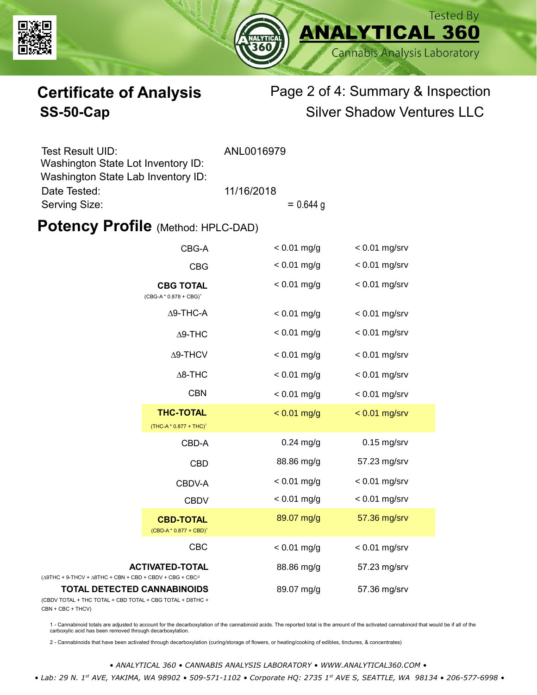



# **Certificate of Analysis** Page 2 of 4: Summary & Inspection **SS-50-Cap** Silver Shadow Ventures LLC

| Test Result UID:                   | ANL0016979 |             |
|------------------------------------|------------|-------------|
| Washington State Lot Inventory ID: |            |             |
| Washington State Lab Inventory ID: |            |             |
| Date Tested:                       | 11/16/2018 |             |
| Serving Size:                      |            | $= 0.644$ g |

### **Potency Profile (Method: HPLC-DAD)**

| CBG-A                                                                                           |                                                        | $< 0.01$ mg/g | $< 0.01$ mg/srv |
|-------------------------------------------------------------------------------------------------|--------------------------------------------------------|---------------|-----------------|
|                                                                                                 | <b>CBG</b>                                             | $< 0.01$ mg/g | $< 0.01$ mg/srv |
|                                                                                                 | <b>CBG TOTAL</b><br>$(CBG-A * 0.878 + CBG)^1$          | $< 0.01$ mg/g | $< 0.01$ mg/srv |
|                                                                                                 | $\Delta$ 9-THC-A                                       | $< 0.01$ mg/g | $< 0.01$ mg/srv |
|                                                                                                 | $\Delta$ 9-THC                                         | $< 0.01$ mg/g | $< 0.01$ mg/srv |
|                                                                                                 | $\Delta$ 9-THCV                                        | $< 0.01$ mg/g | $< 0.01$ mg/srv |
|                                                                                                 | $\Delta$ 8-THC                                         | $< 0.01$ mg/g | $< 0.01$ mg/srv |
|                                                                                                 | <b>CBN</b>                                             | $< 0.01$ mg/g | $< 0.01$ mg/srv |
|                                                                                                 | <b>THC-TOTAL</b><br>(THC-A * 0.877 + THC) <sup>1</sup> | $< 0.01$ mg/g | $< 0.01$ mg/srv |
|                                                                                                 | CBD-A                                                  | $0.24$ mg/g   | $0.15$ mg/srv   |
|                                                                                                 | <b>CBD</b>                                             | 88.86 mg/g    | 57.23 mg/srv    |
|                                                                                                 | CBDV-A                                                 | $< 0.01$ mg/g | $< 0.01$ mg/srv |
|                                                                                                 | <b>CBDV</b>                                            | $< 0.01$ mg/g | $< 0.01$ mg/srv |
|                                                                                                 | <b>CBD-TOTAL</b><br>$(CBD-A * 0.877 + CBD)^1$          | 89.07 mg/g    | 57.36 mg/srv    |
|                                                                                                 | CBC                                                    | $< 0.01$ mg/g | $< 0.01$ mg/srv |
| $(\Delta 9THC + 9-THCV + \Delta 8THC + CBN + CBD + CBDV + CBC + CBC)^2$                         | <b>ACTIVATED-TOTAL</b>                                 | 88.86 mg/g    | 57.23 mg/srv    |
| <b>TOTAL DETECTED CANNABINOIDS</b><br>(CBDV TOTAL + THC TOTAL + CBD TOTAL + CBG TOTAL + D8THC + |                                                        | 89.07 mg/g    | 57.36 mg/srv    |

(CBDV TOTAL + THC TOTAL CBN + CBC + THCV)

1 - Cannabinoid totals are adjusted to account for the decarboxylation of the cannabinoid acids. The reported total is the amount of the activated cannabinoid that would be if all of the<br>carboxylic acid has been removed th

2 - Cannabinoids that have been activated through decarboxylation (curing/storage of flowers, or heating/cooking of edibles, tinctures, & concentrates)

*• ANALYTICAL 360 • CANNABIS ANALYSIS LABORATORY • WWW.ANALYTICAL360.COM • • Lab: 29 N. 1st AVE, YAKIMA, WA 98902 • 509-571-1102 • Corporate HQ: 2735 1st AVE S, SEATTLE, WA 98134 • 206-577-6998 •*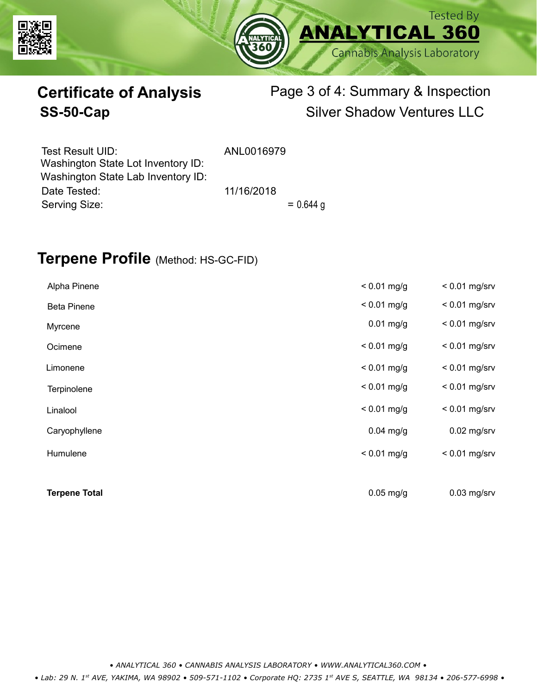



# **Certificate of Analysis** Page 3 of 4: Summary & Inspection **SS-50-Cap** Silver Shadow Ventures LLC

| Test Result UID:<br>Washington State Lot Inventory ID: | ANL0016979 |             |
|--------------------------------------------------------|------------|-------------|
| Washington State Lab Inventory ID:                     |            |             |
| Date Tested:                                           | 11/16/2018 |             |
| Serving Size:                                          |            | $= 0.644$ g |

### **Terpene Profile** (Method: HS-GC-FID)

| Alpha Pinene         | $< 0.01$ mg/g | $< 0.01$ mg/srv |
|----------------------|---------------|-----------------|
| <b>Beta Pinene</b>   | $< 0.01$ mg/g | $< 0.01$ mg/srv |
| Myrcene              | $0.01$ mg/g   | $< 0.01$ mg/srv |
| Ocimene              | $< 0.01$ mg/g | $< 0.01$ mg/srv |
| Limonene             | $< 0.01$ mg/g | $< 0.01$ mg/srv |
| Terpinolene          | $< 0.01$ mg/g | $< 0.01$ mg/srv |
| Linalool             | $< 0.01$ mg/g | $< 0.01$ mg/srv |
| Caryophyllene        | $0.04$ mg/g   | $0.02$ mg/srv   |
| Humulene             | $< 0.01$ mg/g | $< 0.01$ mg/srv |
|                      |               |                 |
| <b>Terpene Total</b> | $0.05$ mg/g   | $0.03$ mg/srv   |